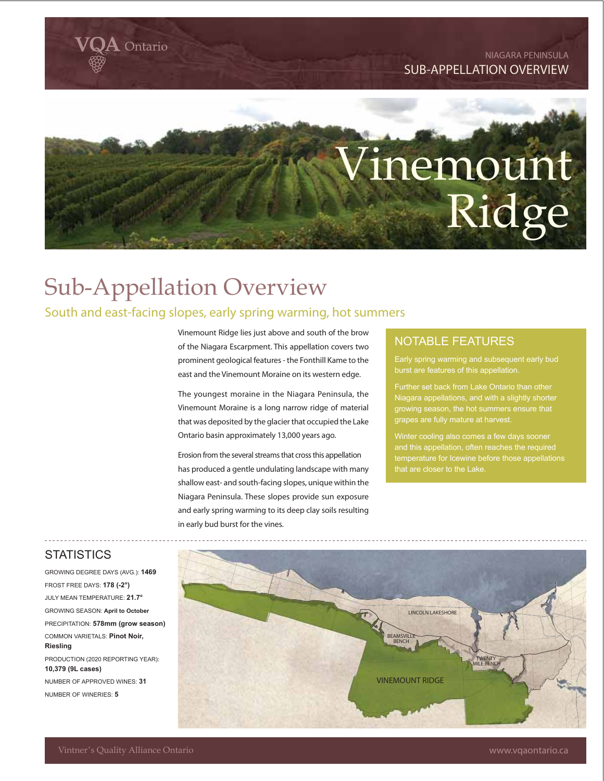#### **NIAGARA PENINSULA SUB-APPELLATION OVERVIEW**



# Sub-Appellation Overview

**Q**ntario

### South and east-facing slopes, early spring warming, hot summers

Vinemount Ridge lies just above and south of the brow of the Niagara Escarpment. This appellation covers two prominent geological features - the Fonthill Kame to the east and the Vinemount Moraine on its western edge.

The youngest moraine in the Niagara Peninsula, the Vinemount Moraine is a long narrow ridge of material that was deposited by the glacier that occupied the Lake Ontario basin approximately 13,000 years ago.

Erosion from the several streams that cross this appellation has produced a gentle undulating landscape with many shallow east- and south-facing slopes, unique within the Niagara Peninsula. These slopes provide sun exposure and early spring warming to its deep clay soils resulting in early bud burst for the vines.

#### NOTABLE FEATURES

burst are features of this appellation.

Further set back from Lake Ontario than other Niagara appellations, and with a slightly shorter growing season, the hot summers ensure that grapes are fully mature at harvest.

and this appellation, often reaches the required temperature for Icewine before those appellations that are closer to the Lake.

#### **STATISTICS**

GROWING DEGREE DAYS (AVG.): **1469** FROST FREE DAYS: **178 (-2°)** JULY MEAN TEMPERATURE: **21.7°** GROWING SEASON: **April to October** PRECIPITATION: **578mm (grow season)** COMMON VARIETALS: **Pinot Noir, Riesling** PRODUCTION (2020 REPORTING YEAR): **10,379 (9L cases)** NUMBER OF APPROVED WINES: **31** NUMBER OF WINERIES: **5**